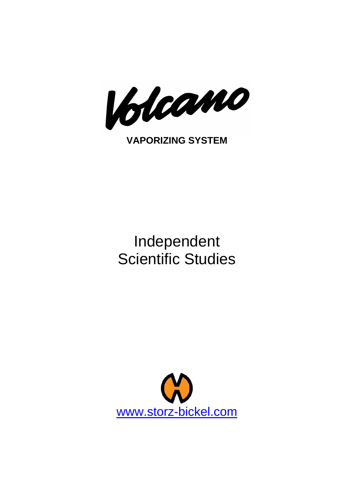

# Independent Scientific Studies

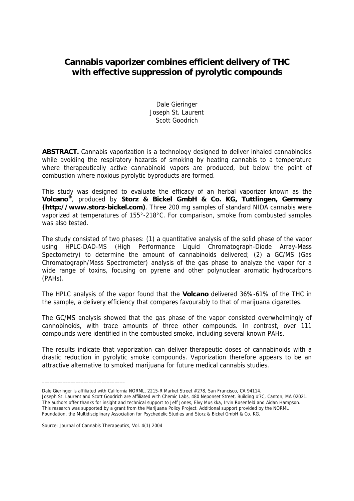## **Cannabis vaporizer combines efficient delivery of THC with effective suppression of pyrolytic compounds**

Dale Gieringer Joseph St. Laurent Scott Goodrich

**ABSTRACT.** Cannabis vaporization is a technology designed to deliver inhaled cannabinoids while avoiding the respiratory hazards of smoking by heating cannabis to a temperature where therapeutically active cannabinoid vapors are produced, but below the point of combustion where noxious pyrolytic byproducts are formed.

This study was designed to evaluate the efficacy of an herbal vaporizer known as the **Volcano®**, produced by **Storz & Bickel GmbH & Co. KG, Tuttlingen, Germany (http://www.storz-bickel.com)**. Three 200 mg samples of standard NIDA cannabis were vaporized at temperatures of 155°-218°C. For comparison, smoke from combusted samples was also tested.

The study consisted of two phases: (1) a quantitative analysis of the solid phase of the vapor using HPLC-DAD-MS (High Performance Liquid Chromatograph-Diode Array-Mass Spectometry) to determine the amount of cannabinoids delivered; (2) a GC/MS (Gas Chromatograph/Mass Spectrometer) analysis of the gas phase to analyze the vapor for a wide range of toxins, focusing on pyrene and other polynuclear aromatic hydrocarbons (PAHs).

The HPLC analysis of the vapor found that the **Volcano** delivered 36%-61% of the THC in the sample, a delivery efficiency that compares favourably to that of marijuana cigarettes.

The GC/MS analysis showed that the gas phase of the vapor consisted overwhelmingly of cannobinoids, with trace amounts of three other compounds. In contrast, over 111 compounds were identified in the combusted smoke, including several known PAHs.

The results indicate that vaporization can deliver therapeutic doses of cannabinoids with a drastic reduction in pyrolytic smoke compounds. Vaporization therefore appears to be an attractive alternative to smoked marijuana for future medical cannabis studies.

Source: Journal of Cannabis Therapeutics, Vol. 4(1) 2004

\_\_\_\_\_\_\_\_\_\_\_\_\_\_\_\_\_\_\_\_\_\_\_\_\_\_\_\_\_\_\_\_

Dale Gieringer is affiliated with California NORML, 2215-R Market Street #278, San Francisco, CA 94114.

Joseph St. Laurent and Scott Goodrich are affiliated with Chemic Labs, 480 Neponset Street, Building #7C, Canton, MA 02021. The authors offer thanks for insight and technical support to Jeff Jones, Elvy Musikka, Irvin Rosenfeld and Aidan Hampson. This research was supported by a grant from the Marijuana Policy Project. Additional support provided by the NORML Foundation, the Multidisciplinary Association for Psychedelic Studies and Storz & Bickel GmbH & Co. KG.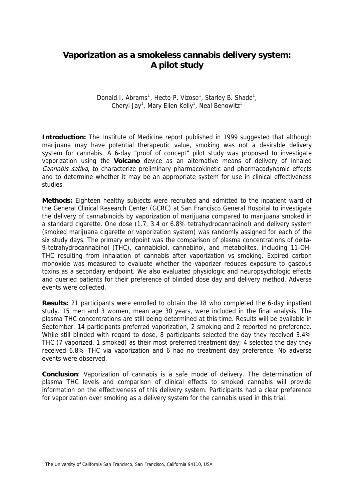## **Vaporization as a smokeless cannabis delivery system: A pilot study**

Donald I. Abrams<sup>[1](#page-2-0)</sup>, Hecto P. Vizoso<sup>1</sup>, Starley B. Shade<sup>1</sup>, Cheryl Jay<sup>1</sup>, Mary Ellen Kelly<sup>1</sup>, Neal Benowitz<sup>1</sup>

**Introduction:** The Institute of Medicine report published in 1999 suggested that although marijuana may have potential therapeutic value, smoking was not a desirable delivery system for cannabis. A 6-day "proof of concept" pilot study was proposed to investigate vaporization using the **Volcano** device as an alternative means of delivery of inhaled Cannabis sativa, to characterize preliminary pharmacokinetic and pharmacodynamic effects and to determine whether it may be an appropriate system for use in clinical effectiveness studies.

**Methods:** Eighteen healthy subjects were recruited and admitted to the inpatient ward of the General Clinical Research Center (GCRC) at San Francisco General Hospital to investigate the delivery of cannabinoids by vaporization of marijuana compared to marijuana smoked in a standard cigarette. One dose (1.7, 3.4 or 6.8% tetrahydrocannabinol) and delivery system (smoked marijuana cigarette or vaporization system) was randomly assigned for each of the six study days. The primary endpoint was the comparison of plasma concentrations of delta-9-tetrahydrocannabinol (THC), cannabidiol, cannabinol, and metabolites, including 11-OH-THC resulting from inhalation of cannabis after vaporization vs smoking. Expired carbon monoxide was measured to evaluate whether the vaporizer reduces exposure to gaseous toxins as a secondary endpoint. We also evaluated physiologic and neuropsychologic effects and queried patients for their preference of blinded dose day and delivery method. Adverse events were collected.

**Results:** 21 participants were enrolled to obtain the 18 who completed the 6-day inpatient study. 15 men and 3 women, mean age 30 years, were included in the final analysis. The plasma THC concentrations are still being determined at this time. Results will be available in September. 14 participants preferred vaporization, 2 smoking and 2 reported no preference. While still blinded with regard to dose, 8 participants selected the day they received 3.4% THC (7 vaporized, 1 smoked) as their most preferred treatment day; 4 selected the day they received 6.8% THC via vaporization and 6 had no treatment day preference. No adverse events were observed.

**Conclusion**: Vaporization of cannabis is a safe mode of delivery. The determination of plasma THC levels and comparison of clinical effects to smoked cannabis will provide information on the effectiveness of this delivery system. Participants had a clear preference for vaporization over smoking as a delivery system for the cannabis used in this trial.

-

<span id="page-2-0"></span><sup>&</sup>lt;sup>1</sup> The University of California San Francisco, San Francisco, California 94110, USA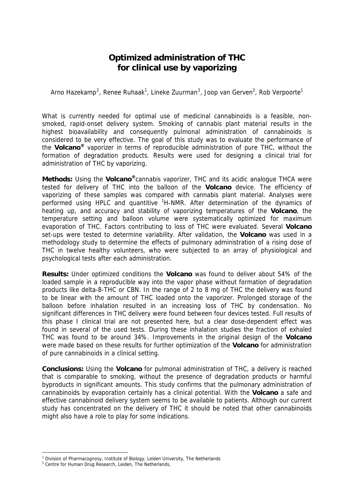### **Optimized administration of THC for clinical use by vaporizing**

Arno Hazekamp<sup>[2](#page-3-0)</sup>, Renee Ruhaak<sup>1</sup>, Lineke Zuurman<sup>[3](#page-3-1)</sup>, Joop van Gerven<sup>2</sup>, Rob Verpoorte<sup>1</sup>

What is currently needed for optimal use of medicinal cannabinoids is a feasible, nonsmoked, rapid-onset delivery system. Smoking of cannabis plant material results in the highest bioavailability and consequently pulmonal administration of cannabinoids is considered to be very effective. The goal of this study was to evaluate the performance of the **Volcano®** vaporizer in terms of reproducible administration of pure THC, without the formation of degradation products. Results were used for designing a clinical trial for administration of THC by vaporizing.

**Methods:** Using the **Volcano®**cannabis vaporizer, THC and its acidic analogue THCA were tested for delivery of THC into the balloon of the **Volcano** device. The efficiency of vaporizing of these samples was compared with cannabis plant material. Analyses were performed using HPLC and quantitive <sup>1</sup>H-NMR. After determination of the dynamics of heating up, and accuracy and stability of vaporizing temperatures of the **Volcano**, the temperature setting and balloon volume were systematically optimized for maximum evaporation of THC. Factors contributing to loss of THC were evaluated. Several **Volcano** set-ups were tested to determine variability. After validation, the **Volcano** was used in a methodology study to determine the effects of pulmonary administration of a rising dose of THC in twelve healthy volunteers, who were subjected to an array of physiological and psychological tests after each administration.

**Results:** Under optimized conditions the **Volcano** was found to deliver about 54% of the loaded sample in a reproducible way into the vapor phase without formation of degradation products like delta-8-THC or CBN. In the range of 2 to 8 mg of THC the delivery was found to be linear with the amount of THC loaded onto the vaporizer. Prolonged storage of the balloon before inhalation resulted in an increasing loss of THC by condensation. No significant differences in THC delivery were found between four devices tested. Full results of this phase I clinical trial are not presented here, but a clear dose-dependent effect was found in several of the used tests. During these inhalation studies the fraction of exhaled THC was found to be around 34%. Improvements in the original design of the **Volcano** were made based on these results for further optimization of the **Volcano** for administration of pure cannabinoids in a clinical setting.

**Conclusions:** Using the **Volcano** for pulmonal administration of THC, a delivery is reached that is comparable to smoking, without the presence of degradation products or harmful byproducts in significant amounts. This study confirms that the pulmonary administration of cannabinoids by evaporation certainly has a clinical potential. With the **Volcano** a safe and effective cannabinoid delivery system seems to be available to patients. Although our current study has concentrated on the delivery of THC it should be noted that other cannabinoids might also have a role to play for some indications.

-

<sup>&</sup>lt;sup>2</sup> Division of Pharmacognosy, Institute of Biology, Leiden University, The Netherlands

<span id="page-3-1"></span><span id="page-3-0"></span><sup>&</sup>lt;sup>3</sup> Centre for Human Drug Research, Leiden, The Netherlands,